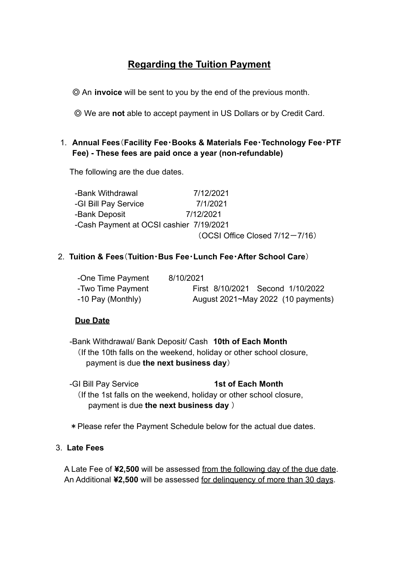### **Regarding the Tuition Payment**

◎ An **invoice** will be sent to you by the end of the previous month.

◎ We are **not** able to accept payment in US Dollars or by Credit Card.

### 1. **Annual Fees**(**Facility Fee**・**Books & Materials Fee**・**Technology Fee**・**PTF Fee) - These fees are paid once a year (non-refundable)**

The following are the due dates.

| -Bank Withdrawal                        | 7/12/2021                      |
|-----------------------------------------|--------------------------------|
| -GI Bill Pay Service                    | 7/1/2021                       |
| -Bank Deposit                           | 7/12/2021                      |
| -Cash Payment at OCSI cashier 7/19/2021 |                                |
|                                         | (OCSI Office Closed 7/12-7/16) |

#### 2. **Tuition & Fees**(**Tuition**・**Bus Fee**・**Lunch Fee**・**After School Care**)

| -One Time Payment | 8/10/2021                          |
|-------------------|------------------------------------|
| -Two Time Payment | First 8/10/2021 Second 1/10/2022   |
| -10 Pay (Monthly) | August 2021~May 2022 (10 payments) |

#### **Due Date**

 -Bank Withdrawal/ Bank Deposit/ Cash **10th of Each Month** (If the 10th falls on the weekend, holiday or other school closure, payment is due **the next business day**)

 -GI Bill Pay Service **1st of Each Month** (If the 1st falls on the weekend, holiday or other school closure, payment is due **the next business day** )

\*Please refer the Payment Schedule below for the actual due dates.

#### 3. **Late Fees**

 A Late Fee of **¥2,500** will be assessed from the following day of the due date. An Additional **¥2,500** will be assessed for delinquency of more than 30 days.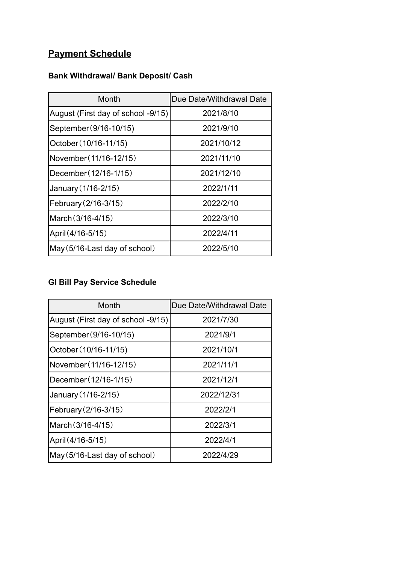# **Payment Schedule**

### **Bank Withdrawal/ Bank Deposit/ Cash**

| Month                              | Due Date/Withdrawal Date |
|------------------------------------|--------------------------|
| August (First day of school -9/15) | 2021/8/10                |
| September (9/16-10/15)             | 2021/9/10                |
| October (10/16-11/15)              | 2021/10/12               |
| November (11/16-12/15)             | 2021/11/10               |
| December (12/16-1/15)              | 2021/12/10               |
| January (1/16-2/15)                | 2022/1/11                |
| February (2/16-3/15)               | 2022/2/10                |
| March (3/16-4/15)                  | 2022/3/10                |
| April (4/16-5/15)                  | 2022/4/11                |
| May (5/16-Last day of school)      | 2022/5/10                |

### **GI Bill Pay Service Schedule**

| Month                              | Due Date/Withdrawal Date |  |
|------------------------------------|--------------------------|--|
| August (First day of school -9/15) | 2021/7/30                |  |
| September (9/16-10/15)             | 2021/9/1                 |  |
| October (10/16-11/15)              | 2021/10/1                |  |
| November (11/16-12/15)             | 2021/11/1                |  |
| December (12/16-1/15)              | 2021/12/1                |  |
| January (1/16-2/15)                | 2022/12/31               |  |
| February (2/16-3/15)               | 2022/2/1                 |  |
| March (3/16-4/15)                  | 2022/3/1                 |  |
| April (4/16-5/15)                  | 2022/4/1                 |  |
| May (5/16-Last day of school)      | 2022/4/29                |  |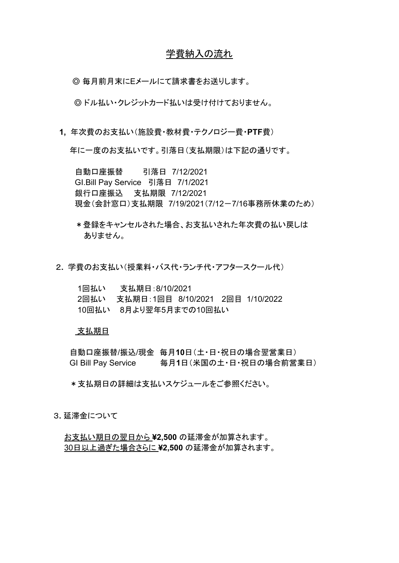#### 学費納入の流れ

◎ 毎月前月末にEメールにて請求書をお送りします。

◎ ドル払い・クレジットカード払いは受け付けておりません。

**1,** 年次費のお支払い(施設費・教材費・テクノロジー費・**PTF**費)

年に一度のお支払いです。引落日(支払期限)は下記の通りです。

 自動口座振替 引落日 7/12/2021 GI.Bill Pay Service 引落日 7/1/2021 銀行口座振込 支払期限 7/12/2021 現金(会計窓口)支払期限 7/19/2021(7/12-7/16事務所休業のため)

- \*登録をキャンセルされた場合、お支払いされた年次費の払い戻しは ありません。
- 2**.** 学費のお支払い(授業料・バス代・ランチ代・アフタースクール代)

| 1回払い | 支払期日:8/10/2021                        |  |  |
|------|---------------------------------------|--|--|
|      | 2回払い 支払期日:1回目 8/10/2021 2回目 1/10/2022 |  |  |
|      | 10回払い 8月より翌年5月までの10回払い                |  |  |

#### 支払期日

 自動口座振替/振込/現金 毎月**10**日(土・日・祝日の場合翌営業日) GI Bill Pay Service 毎月**1**日(米国の土・日・祝日の場合前営業日)

\*支払期日の詳細は支払いスケジュールをご参照ください。

3**.** 延滞金について

 お支払い期日の翌日から **¥2,500** の延滞金が加算されます。 30日以上過ぎた場合さらに **¥2,500** の延滞金が加算されます。